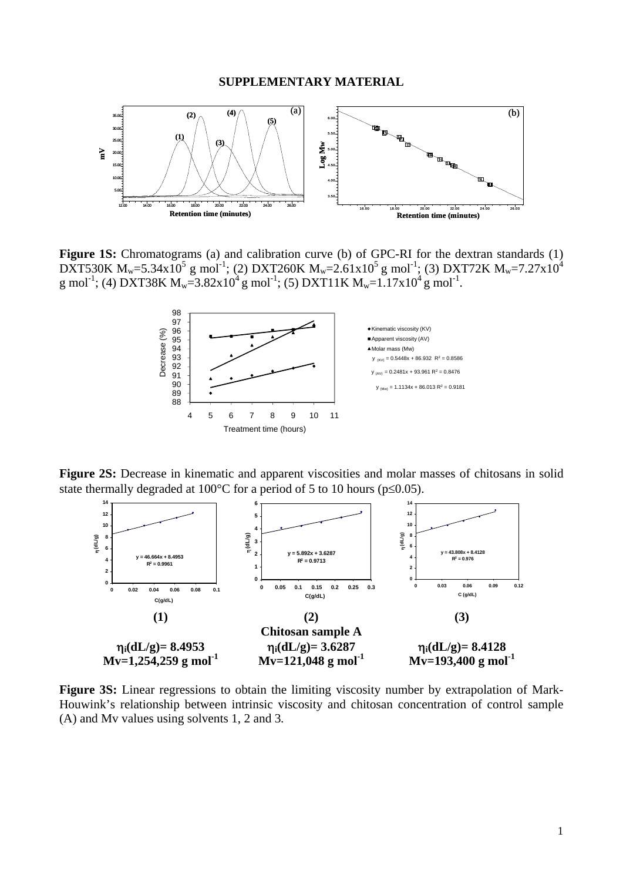

Figure 1S: Chromatograms (a) and calibration curve (b) of GPC-RI for the dextran standards (1) DXT530K M<sub>w</sub>=5.34x10<sup>5</sup> g mol<sup>-1</sup>; (2) DXT260K M<sub>w</sub>=2.61x10<sup>5</sup> g mol<sup>-1</sup>; (3) DXT72K M<sub>w</sub>=7.27x10<sup>4</sup> g mol<sup>-1</sup>; (4) DXT38K M<sub>w</sub>=3.82x10<sup>4</sup> g mol<sup>-1</sup>; (5) DXT11K M<sub>w</sub>=1.17x10<sup>4</sup> g mol<sup>-1</sup>.



**Figure 2S:** Decrease in kinematic and apparent viscosities and molar masses of chitosans in solid state thermally degraded at 100 $^{\circ}$ C for a period of 5 to 10 hours (p $\leq$ 0.05).



**Figure 3S:** Linear regressions to obtain the limiting viscosity number by extrapolation of Mark-Houwink's relationship between intrinsic viscosity and chitosan concentration of control sample (A) and Mv values using solvents 1, 2 and 3*.*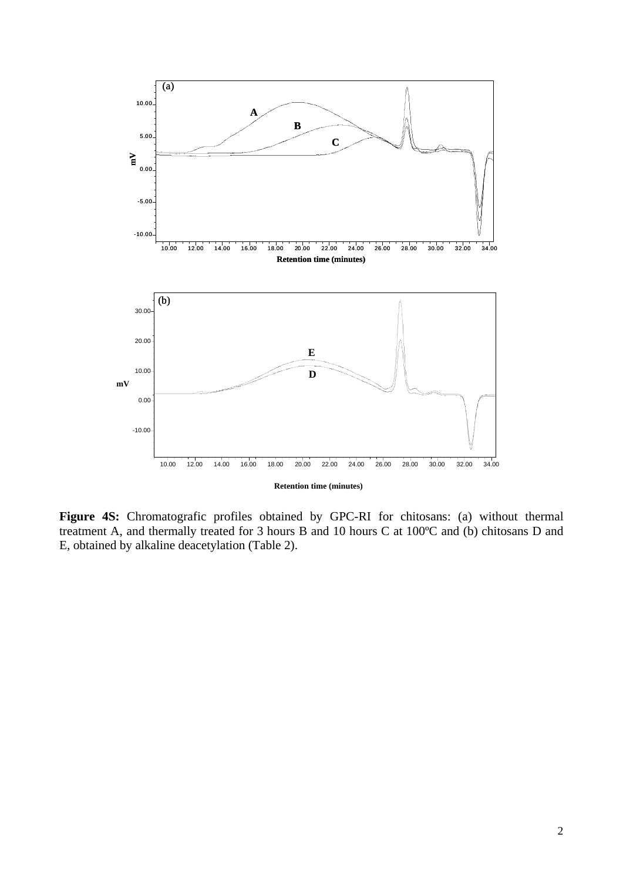

**Figure 4S:** Chromatografic profiles obtained by GPC-RI for chitosans: (a) without thermal treatment A, and thermally treated for 3 hours B and 10 hours C at 100ºC and (b) chitosans D and E, obtained by alkaline deacetylation (Table 2).